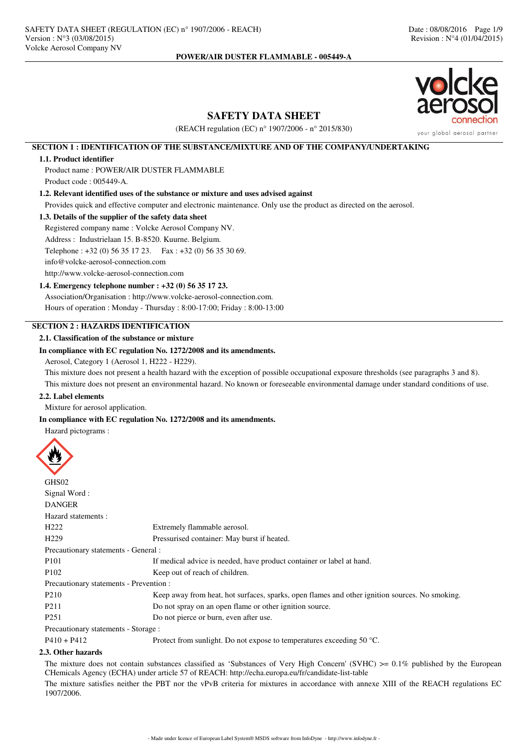

# **SAFETY DATA SHEET**

(REACH regulation (EC) n° 1907/2006 - n° 2015/830)

## **SECTION 1 : IDENTIFICATION OF THE SUBSTANCE/MIXTURE AND OF THE COMPANY/UNDERTAKING**

## **1.1. Product identifier**

Product name : POWER/AIR DUSTER FLAMMABLE Product code : 005449-A.

### **1.2. Relevant identified uses of the substance or mixture and uses advised against**

Provides quick and effective computer and electronic maintenance. Only use the product as directed on the aerosol.

#### **1.3. Details of the supplier of the safety data sheet**

Registered company name : Volcke Aerosol Company NV. Address : Industrielaan 15. B-8520. Kuurne. Belgium. Telephone : +32 (0) 56 35 17 23. Fax : +32 (0) 56 35 30 69. info@volcke-aerosol-connection.com http://www.volcke-aerosol-connection.com

## **1.4. Emergency telephone number : +32 (0) 56 35 17 23.**

Association/Organisation : http://www.volcke-aerosol-connection.com. Hours of operation : Monday - Thursday : 8:00-17:00; Friday : 8:00-13:00

# **SECTION 2 : HAZARDS IDENTIFICATION**

## **2.1. Classification of the substance or mixture**

## **In compliance with EC regulation No. 1272/2008 and its amendments.**

Aerosol, Category 1 (Aerosol 1, H222 - H229).

This mixture does not present a health hazard with the exception of possible occupational exposure thresholds (see paragraphs 3 and 8). This mixture does not present an environmental hazard. No known or foreseeable environmental damage under standard conditions of use.

### **2.2. Label elements**

Mixture for aerosol application.

## **In compliance with EC regulation No. 1272/2008 and its amendments.**

Hazard pictograms :



| Extremely flammable aerosol.                                                                   |
|------------------------------------------------------------------------------------------------|
| Pressurised container: May burst if heated.                                                    |
| Precautionary statements - General :                                                           |
| If medical advice is needed, have product container or label at hand.                          |
| Keep out of reach of children.                                                                 |
| Precautionary statements - Prevention :                                                        |
| Keep away from heat, hot surfaces, sparks, open flames and other ignition sources. No smoking. |
| Do not spray on an open flame or other ignition source.                                        |
| Do not pierce or burn, even after use.                                                         |
| Precautionary statements - Storage :                                                           |
| Protect from sunlight. Do not expose to temperatures exceeding 50 $^{\circ}$ C.                |
|                                                                                                |

### **2.3. Other hazards**

The mixture does not contain substances classified as 'Substances of Very High Concern' (SVHC)  $>0.1\%$  published by the European CHemicals Agency (ECHA) under article 57 of REACH: http://echa.europa.eu/fr/candidate-list-table

The mixture satisfies neither the PBT nor the vPvB criteria for mixtures in accordance with annexe XIII of the REACH regulations EC 1907/2006.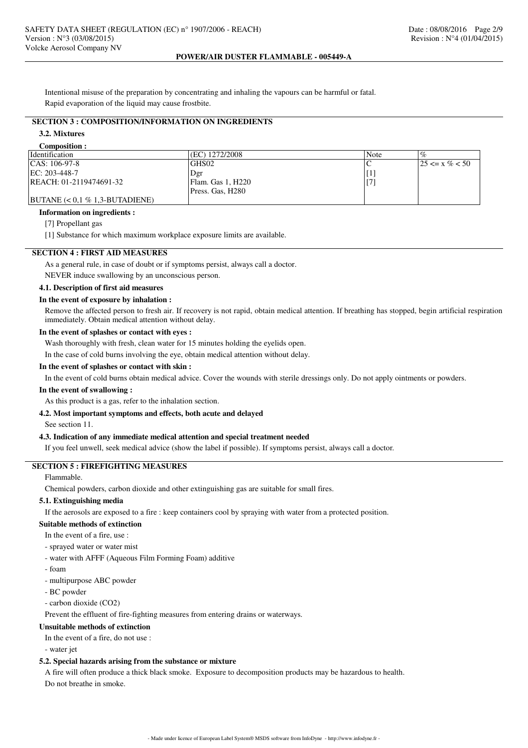Intentional misuse of the preparation by concentrating and inhaling the vapours can be harmful or fatal. Rapid evaporation of the liquid may cause frostbite.

# **SECTION 3 : COMPOSITION/INFORMATION ON INGREDIENTS**

### **3.2. Mixtures**

#### **Composition :**

| <b>Identification</b>             | (EC) 1272/2008    | Note |                       |
|-----------------------------------|-------------------|------|-----------------------|
| $ CAS: 106-97-8$                  | GHS02             |      | $125 \le x \% \le 50$ |
| EC: 203-448-7                     | Dgr               |      |                       |
| REACH: 01-2119474691-32           | Flam. Gas 1, H220 |      |                       |
|                                   | Press. Gas, H280  |      |                       |
| $ BUTANE  < 0.1 \% 1.3-BUTADIENE$ |                   |      |                       |

#### **Information on ingredients :**

[7] Propellant gas

[1] Substance for which maximum workplace exposure limits are available.

## **SECTION 4 : FIRST AID MEASURES**

As a general rule, in case of doubt or if symptoms persist, always call a doctor.

NEVER induce swallowing by an unconscious person.

## **4.1. Description of first aid measures**

### **In the event of exposure by inhalation :**

Remove the affected person to fresh air. If recovery is not rapid, obtain medical attention. If breathing has stopped, begin artificial respiration immediately. Obtain medical attention without delay.

#### **In the event of splashes or contact with eyes :**

Wash thoroughly with fresh, clean water for 15 minutes holding the eyelids open.

In the case of cold burns involving the eye, obtain medical attention without delay.

## **In the event of splashes or contact with skin :**

In the event of cold burns obtain medical advice. Cover the wounds with sterile dressings only. Do not apply ointments or powders.

### **In the event of swallowing :**

As this product is a gas, refer to the inhalation section.

## **4.2. Most important symptoms and effects, both acute and delayed**

See section 11.

#### **4.3. Indication of any immediate medical attention and special treatment needed**

If you feel unwell, seek medical advice (show the label if possible). If symptoms persist, always call a doctor.

## **SECTION 5 : FIREFIGHTING MEASURES**

Flammable.

Chemical powders, carbon dioxide and other extinguishing gas are suitable for small fires.

## **5.1. Extinguishing media**

If the aerosols are exposed to a fire : keep containers cool by spraying with water from a protected position.

### **Suitable methods of extinction**

In the event of a fire, use :

- sprayed water or water mist
- water with AFFF (Aqueous Film Forming Foam) additive
- foam
- multipurpose ABC powder
- BC powder
- carbon dioxide (CO2)

Prevent the effluent of fire-fighting measures from entering drains or waterways.

## **Unsuitable methods of extinction**

In the event of a fire, do not use :

- water jet

### **5.2. Special hazards arising from the substance or mixture**

A fire will often produce a thick black smoke. Exposure to decomposition products may be hazardous to health. Do not breathe in smoke.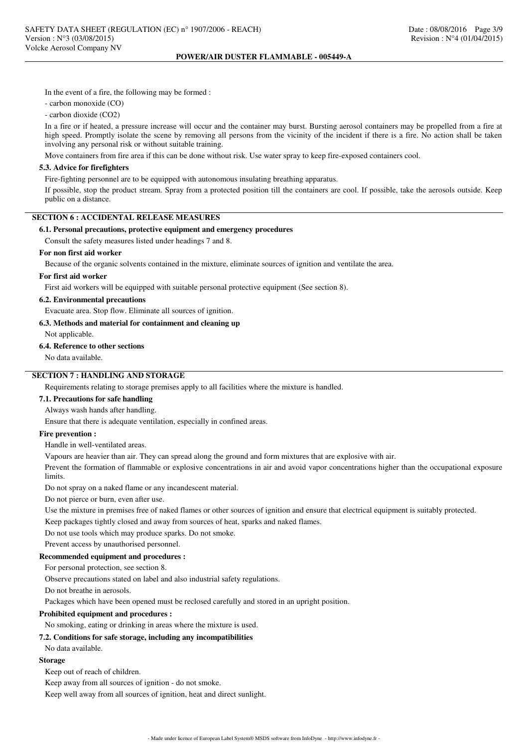In the event of a fire, the following may be formed :

- carbon monoxide (CO)

- carbon dioxide (CO2)

In a fire or if heated, a pressure increase will occur and the container may burst. Bursting aerosol containers may be propelled from a fire at high speed. Promptly isolate the scene by removing all persons from the vicinity of the incident if there is a fire. No action shall be taken involving any personal risk or without suitable training.

Move containers from fire area if this can be done without risk. Use water spray to keep fire-exposed containers cool.

## **5.3. Advice for firefighters**

Fire-fighting personnel are to be equipped with autonomous insulating breathing apparatus.

If possible, stop the product stream. Spray from a protected position till the containers are cool. If possible, take the aerosols outside. Keep public on a distance.

# **SECTION 6 : ACCIDENTAL RELEASE MEASURES**

## **6.1. Personal precautions, protective equipment and emergency procedures**

Consult the safety measures listed under headings 7 and 8.

### **For non first aid worker**

Because of the organic solvents contained in the mixture, eliminate sources of ignition and ventilate the area.

## **For first aid worker**

First aid workers will be equipped with suitable personal protective equipment (See section 8).

## **6.2. Environmental precautions**

Evacuate area. Stop flow. Eliminate all sources of ignition.

### **6.3. Methods and material for containment and cleaning up**

Not applicable.

### **6.4. Reference to other sections**

No data available.

# **SECTION 7 : HANDLING AND STORAGE**

Requirements relating to storage premises apply to all facilities where the mixture is handled.

## **7.1. Precautions for safe handling**

Always wash hands after handling.

Ensure that there is adequate ventilation, especially in confined areas.

## **Fire prevention :**

Handle in well-ventilated areas.

Vapours are heavier than air. They can spread along the ground and form mixtures that are explosive with air.

Prevent the formation of flammable or explosive concentrations in air and avoid vapor concentrations higher than the occupational exposure **limits** 

Do not spray on a naked flame or any incandescent material.

Do not pierce or burn, even after use.

Use the mixture in premises free of naked flames or other sources of ignition and ensure that electrical equipment is suitably protected.

Keep packages tightly closed and away from sources of heat, sparks and naked flames.

Do not use tools which may produce sparks. Do not smoke.

Prevent access by unauthorised personnel.

### **Recommended equipment and procedures :**

For personal protection, see section 8.

Observe precautions stated on label and also industrial safety regulations.

Do not breathe in aerosols.

Packages which have been opened must be reclosed carefully and stored in an upright position.

## **Prohibited equipment and procedures :**

No smoking, eating or drinking in areas where the mixture is used.

## **7.2. Conditions for safe storage, including any incompatibilities**

No data available.

## **Storage**

Keep out of reach of children.

Keep away from all sources of ignition - do not smoke.

Keep well away from all sources of ignition, heat and direct sunlight.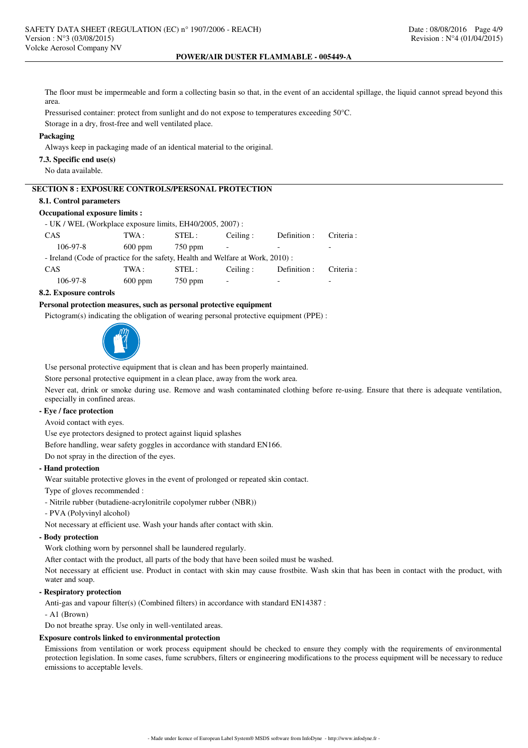The floor must be impermeable and form a collecting basin so that, in the event of an accidental spillage, the liquid cannot spread beyond this area.

Pressurised container: protect from sunlight and do not expose to temperatures exceeding 50°C.

Storage in a dry, frost-free and well ventilated place.

### **Packaging**

Always keep in packaging made of an identical material to the original.

### **7.3. Specific end use(s)**

No data available.

# **SECTION 8 : EXPOSURE CONTROLS/PERSONAL PROTECTION**

## **8.1. Control parameters**

### **Occupational exposure limits :**

| - UK / WEL (Workplace exposure limits, EH40/2005, 2007):                        |           |           |          |              |            |  |  |  |  |
|---------------------------------------------------------------------------------|-----------|-----------|----------|--------------|------------|--|--|--|--|
| <b>CAS</b>                                                                      | TWA :     | STEL:     | Ceiling: | Definition : | Criteria : |  |  |  |  |
| $106-97-8$                                                                      | $600$ ppm | $750$ ppm |          |              |            |  |  |  |  |
| - Ireland (Code of practice for the safety, Health and Welfare at Work, 2010) : |           |           |          |              |            |  |  |  |  |
| <b>CAS</b>                                                                      | TWA :     | STEL:     | Ceiling: | Definition : | Criteria : |  |  |  |  |
| $106 - 97 - 8$                                                                  | $600$ ppm | $750$ ppm |          |              |            |  |  |  |  |
|                                                                                 |           |           |          |              |            |  |  |  |  |

### **8.2. Exposure controls**

## **Personal protection measures, such as personal protective equipment**

Pictogram(s) indicating the obligation of wearing personal protective equipment (PPE) :



Use personal protective equipment that is clean and has been properly maintained.

Store personal protective equipment in a clean place, away from the work area.

Never eat, drink or smoke during use. Remove and wash contaminated clothing before re-using. Ensure that there is adequate ventilation, especially in confined areas.

## **- Eye / face protection**

Avoid contact with eyes.

Use eye protectors designed to protect against liquid splashes

Before handling, wear safety goggles in accordance with standard EN166.

Do not spray in the direction of the eyes.

### **- Hand protection**

Wear suitable protective gloves in the event of prolonged or repeated skin contact.

Type of gloves recommended :

- Nitrile rubber (butadiene-acrylonitrile copolymer rubber (NBR))

- PVA (Polyvinyl alcohol)

Not necessary at efficient use. Wash your hands after contact with skin.

### **- Body protection**

Work clothing worn by personnel shall be laundered regularly.

After contact with the product, all parts of the body that have been soiled must be washed.

Not necessary at efficient use. Product in contact with skin may cause frostbite. Wash skin that has been in contact with the product, with water and soap.

## **- Respiratory protection**

Anti-gas and vapour filter(s) (Combined filters) in accordance with standard EN14387 :

- A1 (Brown)

Do not breathe spray. Use only in well-ventilated areas.

### **Exposure controls linked to environmental protection**

Emissions from ventilation or work process equipment should be checked to ensure they comply with the requirements of environmental protection legislation. In some cases, fume scrubbers, filters or engineering modifications to the process equipment will be necessary to reduce emissions to acceptable levels.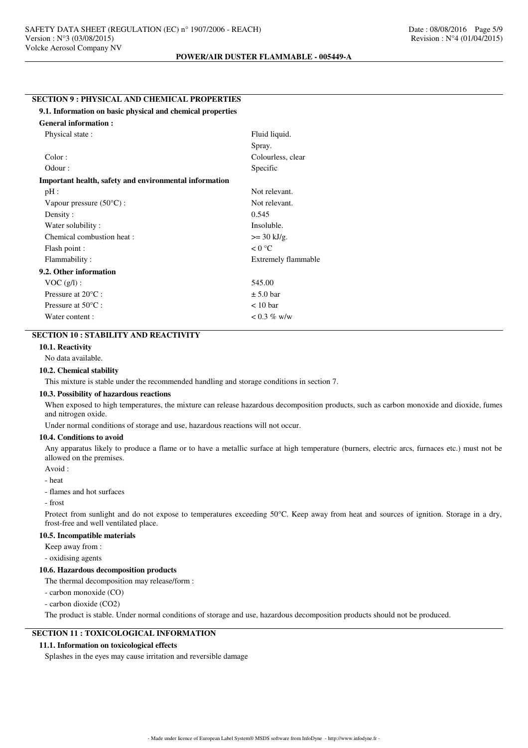## **SECTION 9 : PHYSICAL AND CHEMICAL PROPERTIES**

### **9.1. Information on basic physical and chemical properties**

| <b>General information:</b>                            |                       |
|--------------------------------------------------------|-----------------------|
| Physical state:                                        | Fluid liquid.         |
|                                                        | Spray.                |
| Color:                                                 | Colourless, clear     |
| Odour:                                                 | Specific              |
| Important health, safety and environmental information |                       |
| pH:                                                    | Not relevant.         |
| Vapour pressure $(50^{\circ}C)$ :                      | Not relevant.         |
| Density:                                               | 0.545                 |
| Water solubility:                                      | Insoluble.            |
| Chemical combustion heat :                             | $>= 30 \text{ kJ/g}.$ |
| Flash point :                                          | $< 0$ °C              |
| Flammability:                                          | Extremely flammable   |
| 9.2. Other information                                 |                       |
| $VOC(g/l)$ :                                           | 545.00                |
| Pressure at $20^{\circ}$ C :                           | $\pm$ 5.0 bar         |
| Pressure at $50^{\circ}$ C :                           | $< 10$ bar            |
| Water content:                                         | $< 0.3 \%$ w/w        |

# **SECTION 10 : STABILITY AND REACTIVITY**

## **10.1. Reactivity**

No data available.

#### **10.2. Chemical stability**

This mixture is stable under the recommended handling and storage conditions in section 7.

### **10.3. Possibility of hazardous reactions**

When exposed to high temperatures, the mixture can release hazardous decomposition products, such as carbon monoxide and dioxide, fumes and nitrogen oxide.

Under normal conditions of storage and use, hazardous reactions will not occur.

#### **10.4. Conditions to avoid**

Any apparatus likely to produce a flame or to have a metallic surface at high temperature (burners, electric arcs, furnaces etc.) must not be allowed on the premises.

Avoid :

- heat

- flames and hot surfaces

- frost

Protect from sunlight and do not expose to temperatures exceeding 50°C. Keep away from heat and sources of ignition. Storage in a dry, frost-free and well ventilated place.

#### **10.5. Incompatible materials**

Keep away from :

- oxidising agents

#### **10.6. Hazardous decomposition products**

The thermal decomposition may release/form :

- carbon monoxide (CO)

- carbon dioxide (CO2)

The product is stable. Under normal conditions of storage and use, hazardous decomposition products should not be produced.

### **SECTION 11 : TOXICOLOGICAL INFORMATION**

## **11.1. Information on toxicological effects**

Splashes in the eyes may cause irritation and reversible damage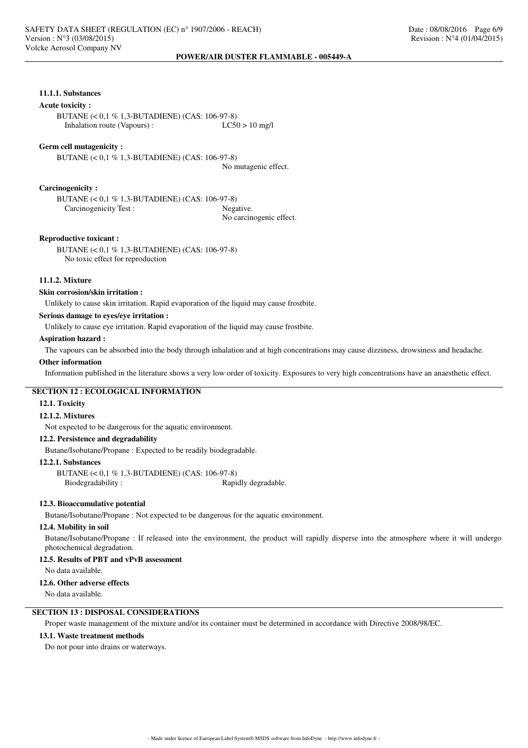## **11.1.1. Substances**

## **Acute toxicity :**

BUTANE (< 0,1 % 1,3-BUTADIENE) (CAS: 106-97-8)<br>Inhalation route (Vapours) : LC50 > 10 mg/l Inhalation route (Vapours) :

#### **Germ cell mutagenicity :**

BUTANE (< 0,1 % 1,3-BUTADIENE) (CAS: 106-97-8) No mutagenic effect.

**Carcinogenicity :**

BUTANE (< 0,1 % 1,3-BUTADIENE) (CAS: 106-97-8) Carcinogenicity Test : Negative.

No carcinogenic effect.

### **Reproductive toxicant :**

BUTANE (< 0,1 % 1,3-BUTADIENE) (CAS: 106-97-8) No toxic effect for reproduction

## **11.1.2. Mixture**

#### **Skin corrosion/skin irritation :**

Unlikely to cause skin irritation. Rapid evaporation of the liquid may cause frostbite.

## **Serious damage to eyes/eye irritation :**

Unlikely to cause eye irritation. Rapid evaporation of the liquid may cause frostbite.

#### **Aspiration hazard :**

The vapours can be absorbed into the body through inhalation and at high concentrations may cause dizziness, drowsiness and headache.

#### **Other information**

Information published in the literature shows a very low order of toxicity. Exposures to very high concentrations have an anaesthetic effect.

## **SECTION 12 : ECOLOGICAL INFORMATION**

## **12.1. Toxicity**

#### **12.1.2. Mixtures**

Not expected to be dangerous for the aquatic environment.

### **12.2. Persistence and degradability**

Butane/Isobutane/Propane : Expected to be readily biodegradable.

### **12.2.1. Substances**

BUTANE (< 0,1 % 1,3-BUTADIENE) (CAS: 106-97-8) Biodegradability : Rapidly degradable.

## **12.3. Bioaccumulative potential**

Butane/Isobutane/Propane : Not expected to be dangerous for the aquatic environment.

### **12.4. Mobility in soil**

Butane/Isobutane/Propane : If released into the environment, the product will rapidly disperse into the atmosphere where it will undergo photochemical degradation.

## **12.5. Results of PBT and vPvB assessment**

No data available.

#### **12.6. Other adverse effects**

No data available.

# **SECTION 13 : DISPOSAL CONSIDERATIONS**

Proper waste management of the mixture and/or its container must be determined in accordance with Directive 2008/98/EC.

## **13.1. Waste treatment methods**

Do not pour into drains or waterways.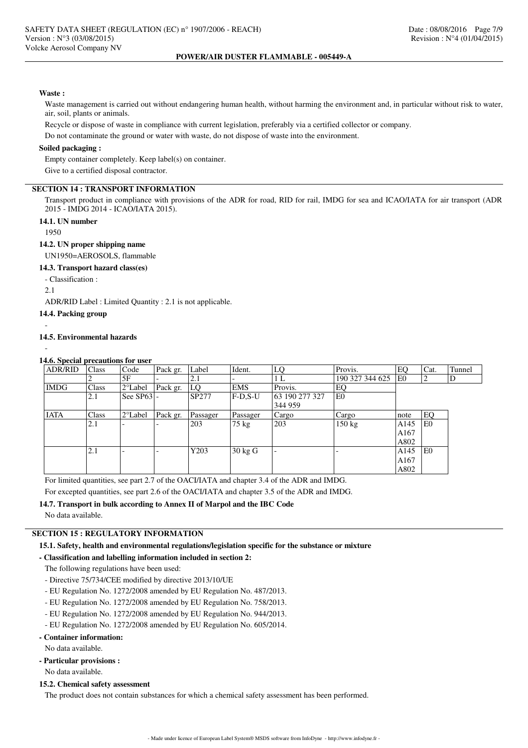### **Waste :**

Waste management is carried out without endangering human health, without harming the environment and, in particular without risk to water, air, soil, plants or animals.

Recycle or dispose of waste in compliance with current legislation, preferably via a certified collector or company.

Do not contaminate the ground or water with waste, do not dispose of waste into the environment.

## **Soiled packaging :**

Empty container completely. Keep label(s) on container.

Give to a certified disposal contractor.

## **SECTION 14 : TRANSPORT INFORMATION**

Transport product in compliance with provisions of the ADR for road, RID for rail, IMDG for sea and ICAO/IATA for air transport (ADR 2015 - IMDG 2014 - ICAO/IATA 2015).

## **14.1. UN number**

1950

### **14.2. UN proper shipping name**

UN1950=AEROSOLS, flammable

## **14.3. Transport hazard class(es)**

- Classification :

2.1

ADR/RID Label : Limited Quantity : 2.1 is not applicable.

### **14.4. Packing group**

#### **14.5. Environmental hazards**

-

-

#### **14.6. Special precautions for user**

| <b>ADR/RID</b> | <b>Class</b> | Code              | Pack gr. | Label    | Ident.            | LQ             | Provis.          | EQ               | Cat. | Tunnel |
|----------------|--------------|-------------------|----------|----------|-------------------|----------------|------------------|------------------|------|--------|
|                |              | 5F                |          | 2.1      |                   | 1 L            | 190 327 344 625  | E <sub>0</sub>   | 2    | D      |
| <b>IMDG</b>    | Class        | $2^{\circ}$ Label | Pack gr. | LO       | <b>EMS</b>        | Provis.        | EQ               |                  |      |        |
|                | 2.1          | See $SP63$ .      |          | SP277    | $F-D.S-U$         | 63 190 277 327 | E <sub>0</sub>   |                  |      |        |
|                |              |                   |          |          |                   | 344 959        |                  |                  |      |        |
| <b>IATA</b>    | Class        | $2^{\circ}$ Label | Pack gr. | Passager | Passager          | Cargo          | Cargo            | note             | EQ   |        |
|                | 2.1          |                   |          | 203      | 75 kg             | 203            | $150 \text{ kg}$ | A145             | l E0 |        |
|                |              |                   |          |          |                   |                |                  | A167             |      |        |
|                |              |                   |          |          |                   |                |                  | A802             |      |        |
|                | 2.1          |                   |          | Y203     | $30 \text{ kg}$ G |                |                  | A <sub>145</sub> | l E0 |        |
|                |              |                   |          |          |                   |                |                  | A167             |      |        |
|                |              |                   |          |          |                   |                |                  | A802             |      |        |

For limited quantities, see part 2.7 of the OACI/IATA and chapter 3.4 of the ADR and IMDG.

For excepted quantities, see part 2.6 of the OACI/IATA and chapter 3.5 of the ADR and IMDG.

### **14.7. Transport in bulk according to Annex II of Marpol and the IBC Code**

No data available.

# **SECTION 15 : REGULATORY INFORMATION**

**15.1. Safety, health and environmental regulations/legislation specific for the substance or mixture**

## **- Classification and labelling information included in section 2:**

The following regulations have been used:

- Directive 75/734/CEE modified by directive 2013/10/UE
- EU Regulation No. 1272/2008 amended by EU Regulation No. 487/2013.
- EU Regulation No. 1272/2008 amended by EU Regulation No. 758/2013.
- EU Regulation No. 1272/2008 amended by EU Regulation No. 944/2013.
- EU Regulation No. 1272/2008 amended by EU Regulation No. 605/2014.

## **- Container information:**

No data available.

**- Particular provisions :**

No data available.

## **15.2. Chemical safety assessment**

The product does not contain substances for which a chemical safety assessment has been performed.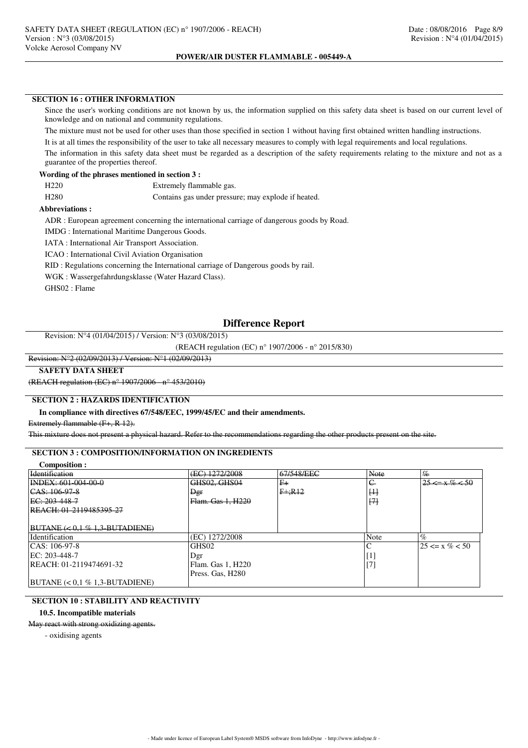# **SECTION 16 : OTHER INFORMATION**

Since the user's working conditions are not known by us, the information supplied on this safety data sheet is based on our current level of knowledge and on national and community regulations.

The mixture must not be used for other uses than those specified in section 1 without having first obtained written handling instructions.

It is at all times the responsibility of the user to take all necessary measures to comply with legal requirements and local regulations.

The information in this safety data sheet must be regarded as a description of the safety requirements relating to the mixture and not as a guarantee of the properties thereof.

## **Wording of the phrases mentioned in section 3 :**

H280 Contains gas under pressure; may explode if heated.

## **Abbreviations :**

ADR : European agreement concerning the international carriage of dangerous goods by Road.

IMDG : International Maritime Dangerous Goods.

IATA : International Air Transport Association.

ICAO : International Civil Aviation Organisation

RID : Regulations concerning the International carriage of Dangerous goods by rail.

WGK : Wassergefahrdungsklasse (Water Hazard Class).

GHS02 : Flame

# **Difference Report**

Revision: N°4 (01/04/2015) / Version: N°3 (03/08/2015)

(REACH regulation (EC) n° 1907/2006 - n° 2015/830)

### Revision: N°2 (02/09/2013) / Version: N°1 (02/09/2013)

### **SAFETY DATA SHEET**

(REACH regulation (EC) n° 1907/2006 - n° 453/2010)

## **SECTION 2 : HAZARDS IDENTIFICATION**

## **In compliance with directives 67/548/EEC, 1999/45/EC and their amendments.**

Extremely flammable (F+, R 12).

This mixture does not present a physical hazard. Refer to the recommendations regarding the other products present on the site.

## **SECTION 3 : COMPOSITION/INFORMATION ON INGREDIENTS**

| Composition :                                  |                   |            |            |                       |
|------------------------------------------------|-------------------|------------|------------|-----------------------|
| Identification                                 | (EC) 1272/2008    | 67/548/EEC | Note       | $\frac{q}{6}$         |
| INDEX: 601-004-00-0                            | GHS02, GHS04      | $F+$       | $\epsilon$ | $25 \le x \% \le 50$  |
| CAS: 106.97.8                                  | Der               | $F + R12$  | H          |                       |
| EC: 203-448-7                                  | Flam. Gas 1, H220 |            | H          |                       |
| REACH: 01-2119485395-27                        |                   |            |            |                       |
|                                                |                   |            |            |                       |
| $BUTANE \left( < 0.1 \% 1.3 BUTADIENE \right)$ |                   |            |            |                       |
| Identification                                 | (EC) 1272/2008    |            | Note       | $\%$                  |
| $ CAS: 106-97-8$                               | GHS <sub>02</sub> |            |            | $125 \le x \% \le 50$ |
| EC: 203-448-7                                  | Dgr               |            | H.         |                       |
| REACH: 01-2119474691-32                        | Flam. Gas 1, H220 |            | $[7]$      |                       |
|                                                | Press. Gas, H280  |            |            |                       |
| $ BUTANE  < 0.1 \% 1.3-BUTADIENE$              |                   |            |            |                       |

## **SECTION 10 : STABILITY AND REACTIVITY**

### **10.5. Incompatible materials**

May react with strong oxidizing agents.

- oxidising agents